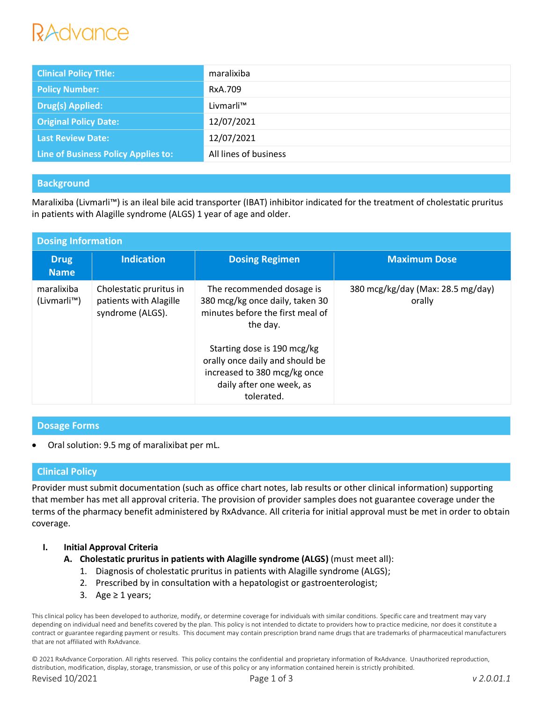# RAdvance

| <b>Clinical Policy Title:</b>       | maralixiba            |
|-------------------------------------|-----------------------|
| <b>Policy Number:</b>               | RxA.709               |
| <b>Drug(s) Applied:</b>             | Livmarli™             |
| <b>Original Policy Date:</b>        | 12/07/2021            |
| <b>Last Review Date:</b>            | 12/07/2021            |
| Line of Business Policy Applies to: | All lines of business |

# **Background**

Maralixiba (Livmarli™) is an ileal bile acid transporter (IBAT) inhibitor indicated for the treatment of cholestatic pruritus in patients with Alagille syndrome (ALGS) 1 year of age and older.

| <b>Dosing Information</b>  |                                                                       |                                                                                                                                                                                                                                                          |                                             |  |  |
|----------------------------|-----------------------------------------------------------------------|----------------------------------------------------------------------------------------------------------------------------------------------------------------------------------------------------------------------------------------------------------|---------------------------------------------|--|--|
| <b>Drug</b><br><b>Name</b> | <b>Indication</b>                                                     | <b>Dosing Regimen</b>                                                                                                                                                                                                                                    | <b>Maximum Dose</b>                         |  |  |
| maralixiba<br>(Livmarli™)  | Cholestatic pruritus in<br>patients with Alagille<br>syndrome (ALGS). | The recommended dosage is<br>380 mcg/kg once daily, taken 30<br>minutes before the first meal of<br>the day.<br>Starting dose is 190 mcg/kg<br>orally once daily and should be<br>increased to 380 mcg/kg once<br>daily after one week, as<br>tolerated. | 380 mcg/kg/day (Max: 28.5 mg/day)<br>orally |  |  |

# **Dosage Forms**

Oral solution: 9.5 mg of maralixibat per mL.

# **Clinical Policy**

Provider must submit documentation (such as office chart notes, lab results or other clinical information) supporting that member has met all approval criteria. The provision of provider samples does not guarantee coverage under the terms of the pharmacy benefit administered by RxAdvance. All criteria for initial approval must be met in order to obtain coverage.

## **I. Initial Approval Criteria**

- **A. Cholestatic pruritus in patients with Alagille syndrome (ALGS)** (must meet all):
	- 1. Diagnosis of cholestatic pruritus in patients with Alagille syndrome (ALGS);
	- 2. Prescribed by in consultation with a hepatologist or gastroenterologist;
	- 3. Age  $\geq 1$  years;

This clinical policy has been developed to authorize, modify, or determine coverage for individuals with similar conditions. Specific care and treatment may vary depending on individual need and benefits covered by the plan. This policy is not intended to dictate to providers how to practice medicine, nor does it constitute a contract or guarantee regarding payment or results. This document may contain prescription brand name drugs that are trademarks of pharmaceutical manufacturers that are not affiliated with RxAdvance.

© 2021 RxAdvance Corporation. All rights reserved. This policy contains the confidential and proprietary information of RxAdvance. Unauthorized reproduction, distribution, modification, display, storage, transmission, or use of this policy or any information contained herein is strictly prohibited.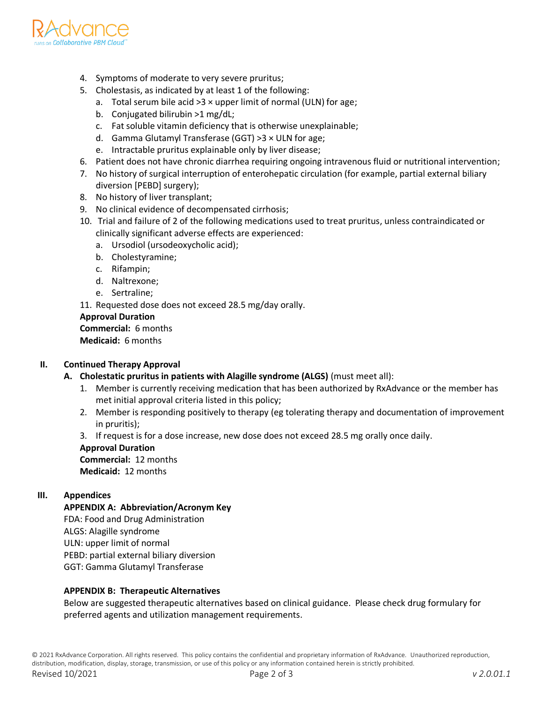

- 4. Symptoms of moderate to very severe pruritus;
- 5. Cholestasis, as indicated by at least 1 of the following:
	- a. Total serum bile acid  $>3 \times$  upper limit of normal (ULN) for age;
	- b. Conjugated bilirubin >1 mg/dL;
	- c. Fat soluble vitamin deficiency that is otherwise unexplainable;
	- d. Gamma Glutamyl Transferase (GGT) >3 × ULN for age;
	- e. Intractable pruritus explainable only by liver disease;
- 6. Patient does not have chronic diarrhea requiring ongoing intravenous fluid or nutritional intervention;
- 7. No history of surgical interruption of enterohepatic circulation (for example, partial external biliary diversion [PEBD] surgery);
- 8. No history of liver transplant;
- 9. No clinical evidence of decompensated cirrhosis;
- 10. Trial and failure of 2 of the following medications used to treat pruritus, unless contraindicated or clinically significant adverse effects are experienced:
	- a. Ursodiol (ursodeoxycholic acid);
	- b. Cholestyramine;
	- c. Rifampin;
	- d. Naltrexone;
- e. Sertraline; 11. Requested dose does not exceed 28.5 mg/day orally.

**Approval Duration Commercial:** 6 months **Medicaid:** 6 months

# **II. Continued Therapy Approval**

- **A. Cholestatic pruritus in patients with Alagille syndrome (ALGS)** (must meet all):
	- 1. Member is currently receiving medication that has been authorized by RxAdvance or the member has met initial approval criteria listed in this policy;
	- 2. Member is responding positively to therapy (eg tolerating therapy and documentation of improvement in pruritis);
	- 3. If request is for a dose increase, new dose does not exceed 28.5 mg orally once daily.

#### **Approval Duration**

**Commercial:** 12 months **Medicaid:** 12 months

## **III. Appendices**

# **APPENDIX A: Abbreviation/Acronym Key**

FDA: Food and Drug Administration ALGS: Alagille syndrome ULN: upper limit of normal PEBD: partial external biliary diversion GGT: Gamma Glutamyl Transferase

## **APPENDIX B: Therapeutic Alternatives**

Below are suggested therapeutic alternatives based on clinical guidance. Please check drug formulary for preferred agents and utilization management requirements.